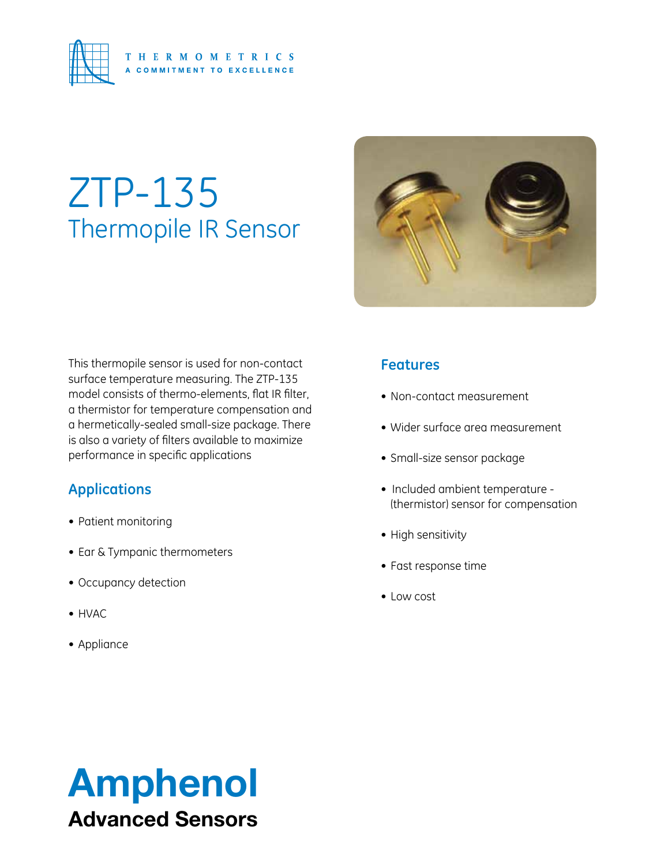

# ZTP-135 Thermopile IR Sensor



This thermopile sensor is used for non-contact surface temperature measuring. The ZTP-135 model consists of thermo-elements, flat IR filter, a thermistor for temperature compensation and a hermetically-sealed small-size package. There is also a variety of filters available to maximize performance in specific applications

### **Applications**

- • Patient monitoring
- Ear & Tympanic thermometers
- Occupancy detection
- • HVAC
- • Appliance

### **Features**

- Non-contact measurement
- • Wider surface area measurement
- • Small-size sensor package
- Included ambient temperature (thermistor) sensor for compensation
- High sensitivity
- • Fast response time
- • Low cost

# Amphenol Advanced Sensors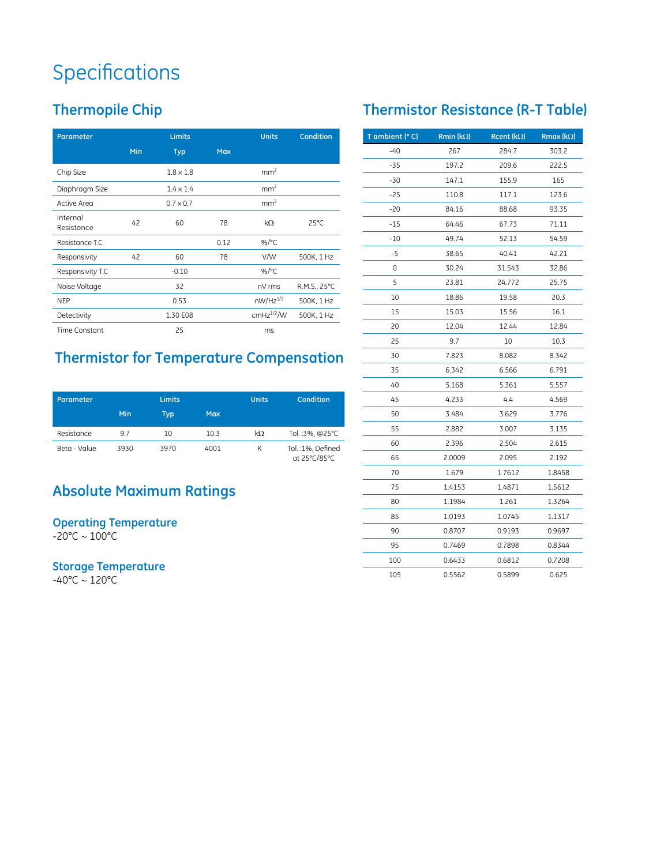## **Specifications**

## **Thermopile Chip**

| Parameter              |     | <b>Limits</b>    |            |                 | <b>Condition</b> |
|------------------------|-----|------------------|------------|-----------------|------------------|
|                        | Min | <b>Typ</b>       | <b>Max</b> |                 |                  |
| Chip Size              |     | $1.8 \times 1.8$ |            | mm <sup>2</sup> |                  |
| Diaphragm Size         |     | $1.4 \times 1.4$ |            | mm <sup>2</sup> |                  |
| Active Area            |     | $0.7 \times 0.7$ |            | mm <sup>2</sup> |                  |
| Internal<br>Resistance | 42  | 60               | 78         | $k\Omega$       | $25^{\circ}$ C   |
| Resistance T.C         |     |                  | 0.12       | %/ $^{\circ}$ C |                  |
| Responsivity           | 42  | 60               | 78         | V/W             | 500K, 1 Hz       |
| Responsivity T.C       |     | $-0.10$          |            | %/ $^{\circ}$ C |                  |
| Noise Voltage          |     | 32               |            | nV rms          | R.M.S., 25°C     |
| <b>NEP</b>             |     | 0.53             |            | $nW/Hz^{1/2}$   | 500K, 1 Hz       |
| Detectivity            |     | 1.30 E08         |            | $cmHz^{1/2}/W$  | 500K, 1 Hz       |
| <b>Time Constant</b>   |     | 25               |            | ms              |                  |

## **Thermistor for Temperature Compensation**

| Parameter    |      | <b>Limits</b> |            | <b>Units</b> | Condition                        |
|--------------|------|---------------|------------|--------------|----------------------------------|
|              | Min  | Typ           | <b>Max</b> |              |                                  |
| Resistance   | 9.7  | 10            | 10.3       | $k\Omega$    | Tol.:3%, @25°C                   |
| Beta - Value | 3930 | 3970          | 4001       | К            | Tol.:1%, Defined<br>at 25°C/85°C |

### **Absolute Maximum Ratings**

#### **Operating Temperature**  $-20^{\circ}$ C ~ 100 $^{\circ}$ C

**Storage Temperature**

-40°C ~ 120°C

### **Thermistor Resistance (R-T Table)**

| T ambient (° C) | Rmin ( $k\Omega$ ) | Rcent ( $k\Omega$ ) | <b>Rmax (k</b> $\Omega$ ) |
|-----------------|--------------------|---------------------|---------------------------|
| $-40$           | 267                | 284.7               | 303.2                     |
| $-35$           | 197.2              | 209.6               | 222.5                     |
| -30             | 147.1              | 155.9               | 165                       |
| $-25$           | 110.8              | 117.1               | 123.6                     |
| -20             | 84.16              | 88.68               | 93.35                     |
| -15             | 64.46              | 67.73               | 71.11                     |
| -10             | 49.74              | 52.13               | 54.59                     |
| -5              | 38.65              | 40.41               | 42.21                     |
| 0               | 30.24              | 31.543              | 32.86                     |
| 5               | 23.81              | 24.772              | 25.75                     |
| 10              | 18.86              | 19.58               | 20.3                      |
| 15              | 15.03              | 15.56               | 16.1                      |
| 20              | 12.04              | 12.44               | 12.84                     |
| 25              | 9.7                | 10                  | 10.3                      |
| 30              | 7.823              | 8.082               | 8.342                     |
| 35              | 6.342              | 6.566               | 6.791                     |
| 40              | 5.168              | 5.361               | 5.557                     |
| 45              | 4.233              | 4.4                 | 4.569                     |
| 50              | 3.484              | 3.629               | 3.776                     |
| 55              | 2.882              | 3.007               | 3.135                     |
| 60              | 2.396              | 2.504               | 2.615                     |
| 65              | 2.0009             | 2.095               | 2.192                     |
| 70              | 1.679              | 1.7612              | 1.8458                    |
| 75              | 1.4153             | 1.4871              | 1.5612                    |
| 80              | 1.1984             | 1.261               | 1.3264                    |
| 85              | 1.0193             | 1.0745              | 1.1317                    |
| 90              | 0.8707             | 0.9193              | 0.9697                    |
| 95              | 0.7469             | 0.7898              | 0.8344                    |
| 100             | 0.6433             | 0.6812              | 0.7208                    |
| 105             | 0.5562             | 0.5899              | 0.625                     |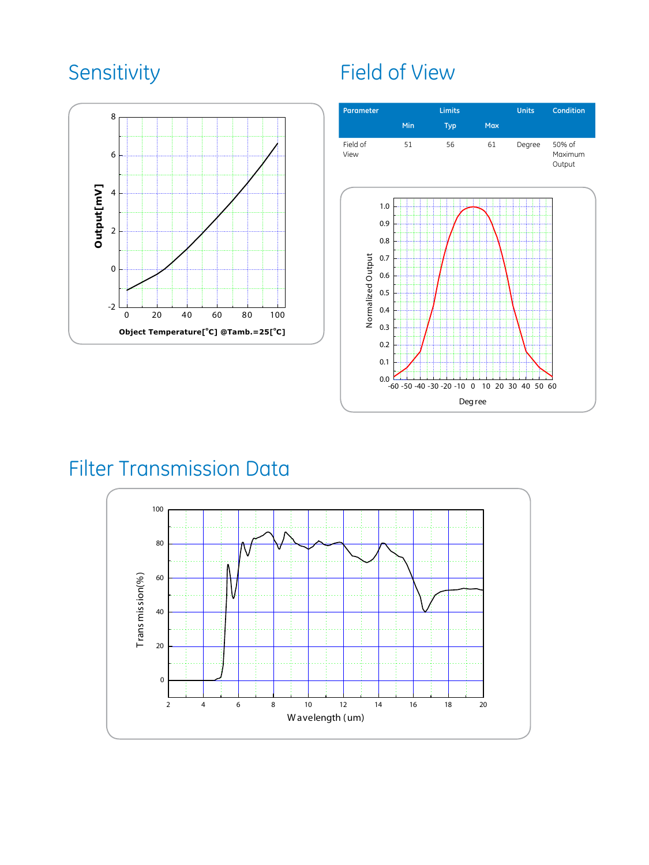

## Sensitivity Field of View



## Filter Transmission Data